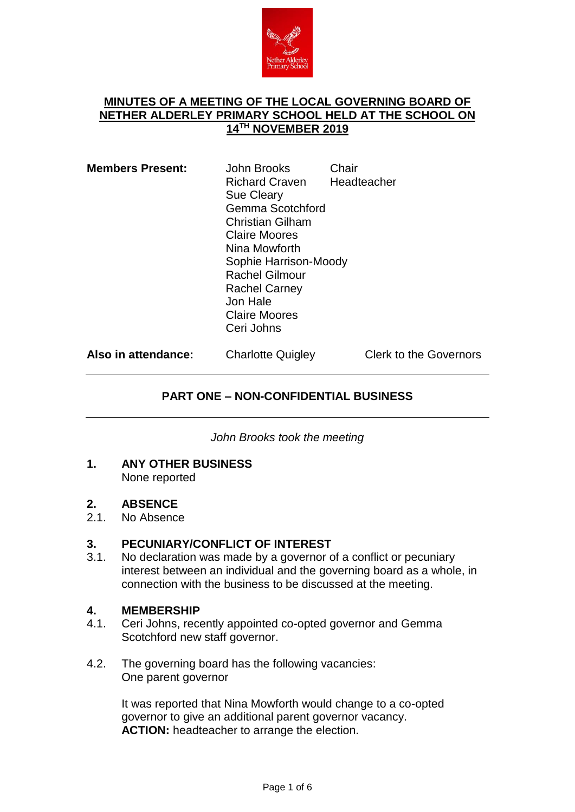

#### **MINUTES OF A MEETING OF THE LOCAL GOVERNING BOARD OF NETHER ALDERLEY PRIMARY SCHOOL HELD AT THE SCHOOL ON 14TH NOVEMBER 2019**

| <b>Members Present:</b> | John Brooks<br><b>Richard Craven</b><br><b>Sue Cleary</b><br>Gemma Scotchford<br><b>Christian Gilham</b><br><b>Claire Moores</b><br>Nina Mowforth<br>Sophie Harrison-Moody<br><b>Rachel Gilmour</b><br><b>Rachel Carney</b><br>Jon Hale<br><b>Claire Moores</b><br>Ceri Johns | Chair<br>Headteacher |                               |
|-------------------------|-------------------------------------------------------------------------------------------------------------------------------------------------------------------------------------------------------------------------------------------------------------------------------|----------------------|-------------------------------|
| Also in attendance:     | <b>Charlotte Quigley</b>                                                                                                                                                                                                                                                      |                      | <b>Clerk to the Governors</b> |

## **PART ONE – NON-CONFIDENTIAL BUSINESS**

*John Brooks took the meeting*

**1. ANY OTHER BUSINESS** None reported

## **2. ABSENCE**

2.1. No Absence

# **3. PECUNIARY/CONFLICT OF INTEREST**<br>3.1. No declaration was made by a governor of

No declaration was made by a governor of a conflict or pecuniary interest between an individual and the governing board as a whole, in connection with the business to be discussed at the meeting.

## **4. MEMBERSHIP**

- 4.1. Ceri Johns, recently appointed co-opted governor and Gemma Scotchford new staff governor.
- 4.2. The governing board has the following vacancies: One parent governor

It was reported that Nina Mowforth would change to a co-opted governor to give an additional parent governor vacancy. **ACTION:** headteacher to arrange the election.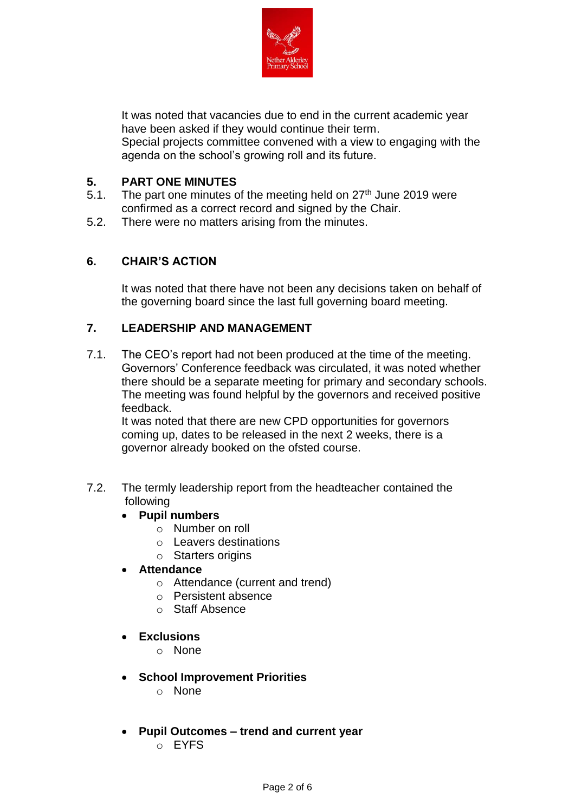

It was noted that vacancies due to end in the current academic year have been asked if they would continue their term. Special projects committee convened with a view to engaging with the agenda on the school's growing roll and its future.

# **5. PART ONE MINUTES**

- 5.1. The part one minutes of the meeting held on  $27<sup>th</sup>$  June 2019 were confirmed as a correct record and signed by the Chair.
- 5.2. There were no matters arising from the minutes.

# **6. CHAIR'S ACTION**

It was noted that there have not been any decisions taken on behalf of the governing board since the last full governing board meeting.

# **7. LEADERSHIP AND MANAGEMENT**

7.1. The CEO's report had not been produced at the time of the meeting. Governors' Conference feedback was circulated, it was noted whether there should be a separate meeting for primary and secondary schools. The meeting was found helpful by the governors and received positive feedback.

It was noted that there are new CPD opportunities for governors coming up, dates to be released in the next 2 weeks, there is a governor already booked on the ofsted course.

7.2. The termly leadership report from the headteacher contained the following

# **Pupil numbers**

- o Number on roll
- o Leavers destinations
- o Starters origins
- **Attendance**
	- o Attendance (current and trend)
	- o Persistent absence
	- o Staff Absence
- **Exclusions**
	- o None
- **School Improvement Priorities**
	- o None
- **Pupil Outcomes – trend and current year** o EYFS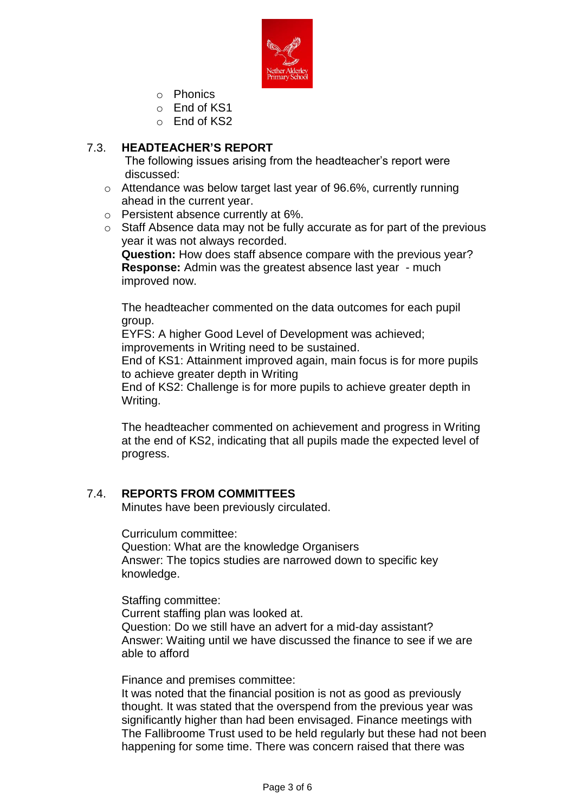

- o Phonics
- o End of KS1
- o End of KS2

## 7.3. **HEADTEACHER'S REPORT**

The following issues arising from the headteacher's report were discussed:

- o Attendance was below target last year of 96.6%, currently running ahead in the current year.
- o Persistent absence currently at 6%.
- o Staff Absence data may not be fully accurate as for part of the previous year it was not always recorded.

**Question:** How does staff absence compare with the previous year? **Response:** Admin was the greatest absence last year - much improved now.

The headteacher commented on the data outcomes for each pupil group.

EYFS: A higher Good Level of Development was achieved; improvements in Writing need to be sustained.

End of KS1: Attainment improved again, main focus is for more pupils to achieve greater depth in Writing

End of KS2: Challenge is for more pupils to achieve greater depth in Writing.

The headteacher commented on achievement and progress in Writing at the end of KS2, indicating that all pupils made the expected level of progress.

## 7.4. **REPORTS FROM COMMITTEES**

Minutes have been previously circulated.

Curriculum committee: Question: What are the knowledge Organisers Answer: The topics studies are narrowed down to specific key knowledge.

Staffing committee: Current staffing plan was looked at. Question: Do we still have an advert for a mid-day assistant? Answer: Waiting until we have discussed the finance to see if we are able to afford

Finance and premises committee:

It was noted that the financial position is not as good as previously thought. It was stated that the overspend from the previous year was significantly higher than had been envisaged. Finance meetings with The Fallibroome Trust used to be held regularly but these had not been happening for some time. There was concern raised that there was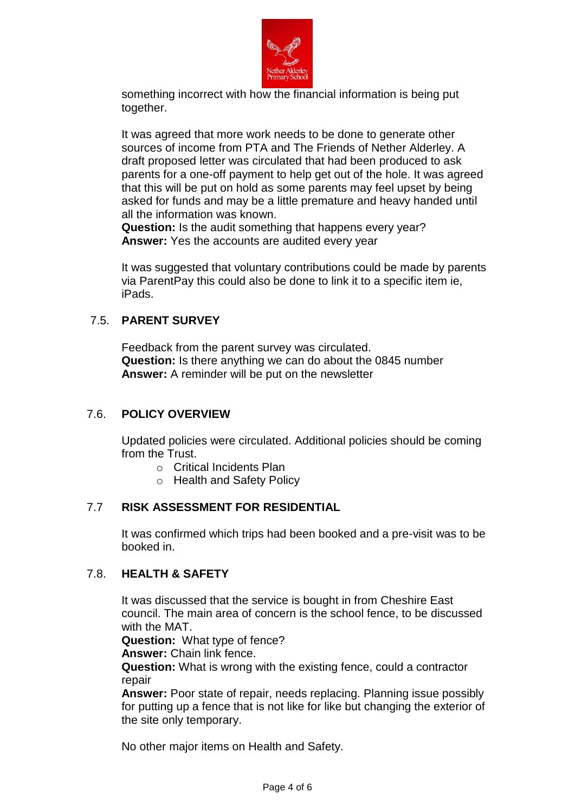

something incorrect with how the financial information is being put together.

It was agreed that more work needs to be done to generate other sources of income from PTA and The Friends of Nether Alderley. A draft proposed letter was circulated that had been produced to ask parents for a one-off payment to help get out of the hole. It was agreed that this will be put on hold as some parents may feel upset by being asked for funds and may be a little premature and heavy handed until all the information was known.

**Question:** Is the audit something that happens every year? **Answer:** Yes the accounts are audited every year

It was suggested that voluntary contributions could be made by parents via ParentPay this could also be done to link it to a specific item ie, iPads.

## 7.5. **PARENT SURVEY**

Feedback from the parent survey was circulated. **Question:** Is there anything we can do about the 0845 number **Answer:** A reminder will be put on the newsletter

## 7.6. **POLICY OVERVIEW**

Updated policies were circulated. Additional policies should be coming from the Trust.

- o Critical Incidents Plan
- o Health and Safety Policy

## 7.7 **RISK ASSESSMENT FOR RESIDENTIAL**

It was confirmed which trips had been booked and a pre-visit was to be booked in.

## 7.8. **HEALTH & SAFETY**

It was discussed that the service is bought in from Cheshire East council. The main area of concern is the school fence, to be discussed with the MAT.

**Question:** What type of fence?

**Answer:** Chain link fence.

**Question:** What is wrong with the existing fence, could a contractor repair

**Answer:** Poor state of repair, needs replacing. Planning issue possibly for putting up a fence that is not like for like but changing the exterior of the site only temporary.

No other major items on Health and Safety.